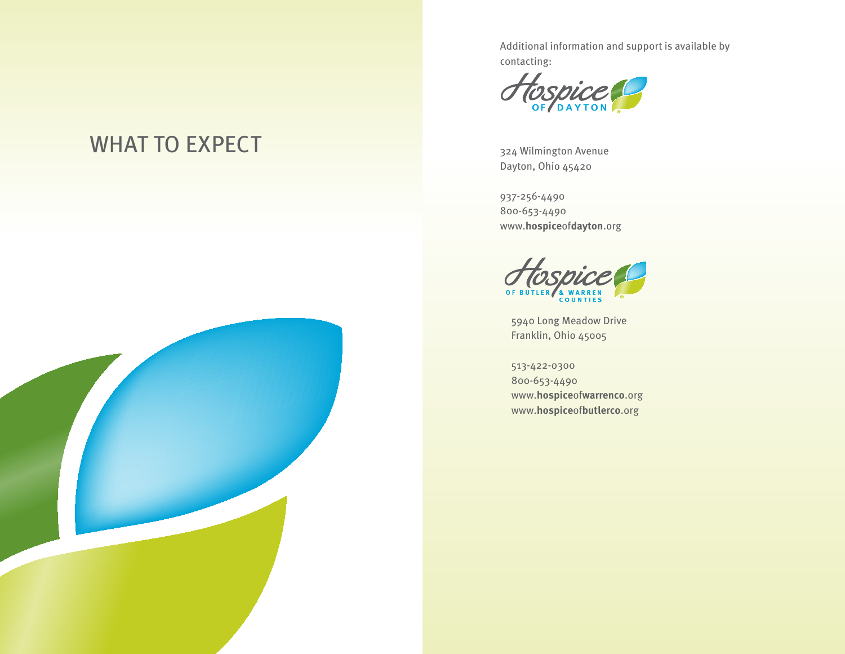Additional information and support is available by contacting:



324 Wilmington Avenue Dayton, Ohio 45420

937-256-4490 800-653-4490 www.**hospice**of**dayton**.org



5940 Long Meadow Drive Franklin, Ohio 45005

513-422-0300 800-653-4490 www.**hospice**of**warrenco**.org www.**hospice**of**butlerco**.org

# WHAT TO EXPECT

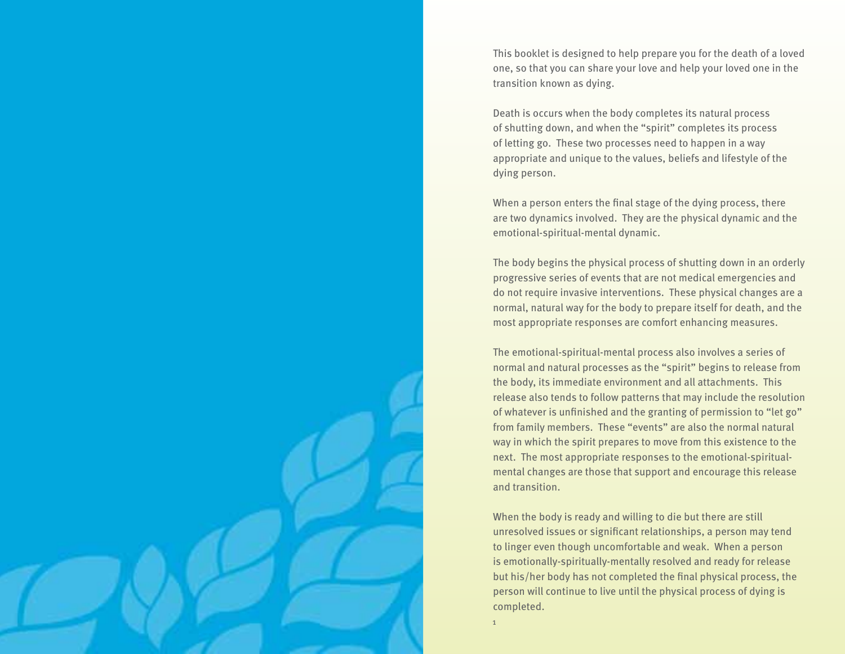This booklet is designed to help prepare you for the death of a loved one, so that you can share your love and help your loved one in the transition known as dying.

Death is occurs when the body completes its natural process of shutting down, and when the "spirit" completes its process of letting go. These two processes need to happen in a way appropriate and unique to the values, beliefs and lifestyle of the dying person.

When a person enters the final stage of the dying process, there are two dynamics involved. They are the physical dynamic and the emotional-spiritual-mental dynamic.

The body begins the physical process of shutting down in an orderly progressive series of events that are not medical emergencies and do not require invasive interventions. These physical changes are a normal, natural way for the body to prepare itself for death, and the most appropriate responses are comfort enhancing measures.

The emotional-spiritual-mental process also involves a series of normal and natural processes as the "spirit" begins to release from the body, its immediate environment and all attachments. This release also tends to follow patterns that may include the resolution of whatever is unfinished and the granting of permission to "let go" from family members. These "events" are also the normal natural way in which the spirit prepares to move from this existence to the next. The most appropriate responses to the emotional-spiritualmental changes are those that support and encourage this release and transition.

When the body is ready and willing to die but there are still unresolved issues or significant relationships, a person may tend to linger even though uncomfortable and weak. When a person is emotionally-spiritually-mentally resolved and ready for release but his/her body has not completed the final physical process, the person will continue to live until the physical process of dying is completed.

1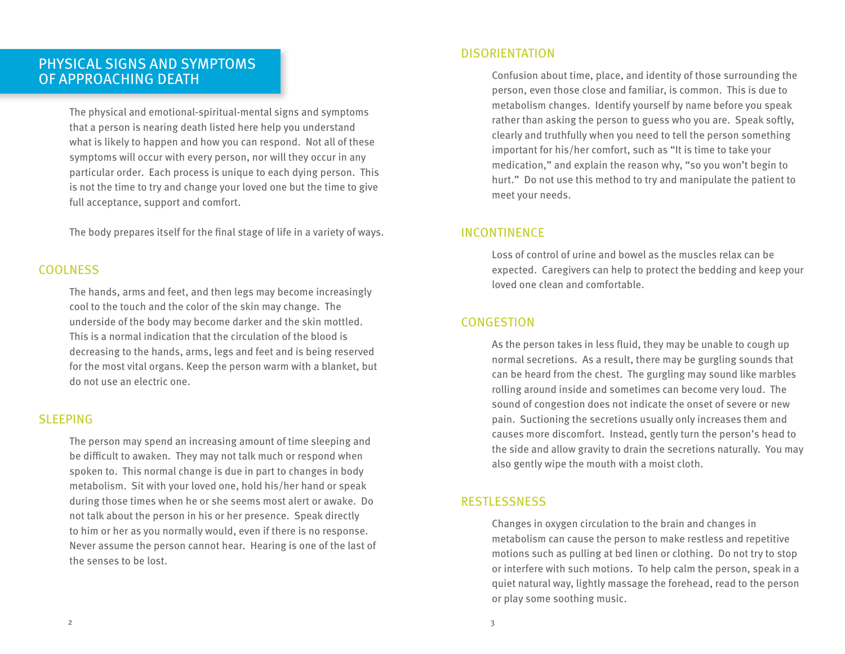# Physical Signs and Symptoms of Approaching Death

The physical and emotional-spiritual-mental signs and symptoms that a person is nearing death listed here help you understand what is likely to happen and how you can respond. Not all of these symptoms will occur with every person, nor will they occur in any particular order. Each process is unique to each dying person. This is not the time to try and change your loved one but the time to give full acceptance, support and comfort.

The body prepares itself for the final stage of life in a variety of ways.

# Coolness

The hands, arms and feet, and then legs may become increasingly cool to the touch and the color of the skin may change. The underside of the body may become darker and the skin mottled. This is a normal indication that the circulation of the blood is decreasing to the hands, arms, legs and feet and is being reserved for the most vital organs. Keep the person warm with a blanket, but do not use an electric one.

## **SLEEPING**

The person may spend an increasing amount of time sleeping and be difficult to awaken. They may not talk much or respond when spoken to. This normal change is due in part to changes in body metabolism. Sit with your loved one, hold his/her hand or speak during those times when he or she seems most alert or awake. Do not talk about the person in his or her presence. Speak directly to him or her as you normally would, even if there is no response. Never assume the person cannot hear. Hearing is one of the last of the senses to be lost.

## **DISORIENTATION**

Confusion about time, place, and identity of those surrounding the person, even those close and familiar, is common. This is due to metabolism changes. Identify yourself by name before you speak rather than asking the person to guess who you are. Speak softly, clearly and truthfully when you need to tell the person something important for his/her comfort, such as "It is time to take your medication," and explain the reason why, "so you won't begin to hurt." Do not use this method to try and manipulate the patient to meet your needs.

## **INCONTINENCE**

Loss of control of urine and bowel as the muscles relax can be expected. Caregivers can help to protect the bedding and keep your loved one clean and comfortable.

# **CONGESTION**

As the person takes in less fluid, they may be unable to cough up normal secretions. As a result, there may be gurgling sounds that can be heard from the chest. The gurgling may sound like marbles rolling around inside and sometimes can become very loud. The sound of congestion does not indicate the onset of severe or new pain. Suctioning the secretions usually only increases them and causes more discomfort. Instead, gently turn the person's head to the side and allow gravity to drain the secretions naturally. You may also gently wipe the mouth with a moist cloth.

## restlessness

Changes in oxygen circulation to the brain and changes in metabolism can cause the person to make restless and repetitive motions such as pulling at bed linen or clothing. Do not try to stop or interfere with such motions. To help calm the person, speak in a quiet natural way, lightly massage the forehead, read to the person or play some soothing music.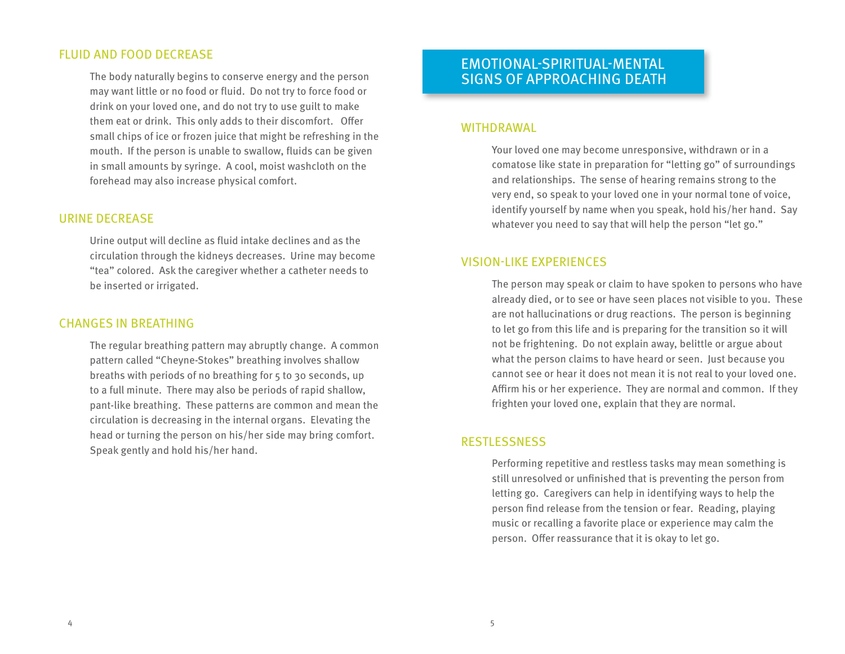## fluid and food decrease

The body naturally begins to conserve energy and the person may want little or no food or fluid. Do not try to force food or drink on your loved one, and do not try to use guilt to make them eat or drink. This only adds to their discomfort. Offer small chips of ice or frozen juice that might be refreshing in the mouth. If the person is unable to swallow, fluids can be given in small amounts by syringe. A cool, moist washcloth on the forehead may also increase physical comfort.

#### urine decrease

Urine output will decline as fluid intake declines and as the circulation through the kidneys decreases. Urine may become "tea" colored. Ask the caregiver whether a catheter needs to be inserted or irrigated.

### Changes in breathing

The regular breathing pattern may abruptly change. A common pattern called "Cheyne-Stokes" breathing involves shallow breaths with periods of no breathing for 5 to 30 seconds, up to a full minute. There may also be periods of rapid shallow, pant-like breathing. These patterns are common and mean the circulation is decreasing in the internal organs. Elevating the head or turning the person on his/her side may bring comfort. Speak gently and hold his/her hand.

# emotional-spiritual-mental signs of Approaching Death

#### **WITHDRAWAL**

Your loved one may become unresponsive, withdrawn or in a comatose like state in preparation for "letting go" of surroundings and relationships. The sense of hearing remains strong to the very end, so speak to your loved one in your normal tone of voice, identify yourself by name when you speak, hold his/her hand. Say whatever you need to say that will help the person "let go."

### vision-like experiences

The person may speak or claim to have spoken to persons who have already died, or to see or have seen places not visible to you. These are not hallucinations or drug reactions. The person is beginning to let go from this life and is preparing for the transition so it will not be frightening. Do not explain away, belittle or argue about what the person claims to have heard or seen. Just because you cannot see or hear it does not mean it is not real to your loved one. Affirm his or her experience. They are normal and common. If they frighten your loved one, explain that they are normal.

#### restlessness

Performing repetitive and restless tasks may mean something is still unresolved or unfinished that is preventing the person from letting go. Caregivers can help in identifying ways to help the person find release from the tension or fear. Reading, playing music or recalling a favorite place or experience may calm the person. Offer reassurance that it is okay to let go.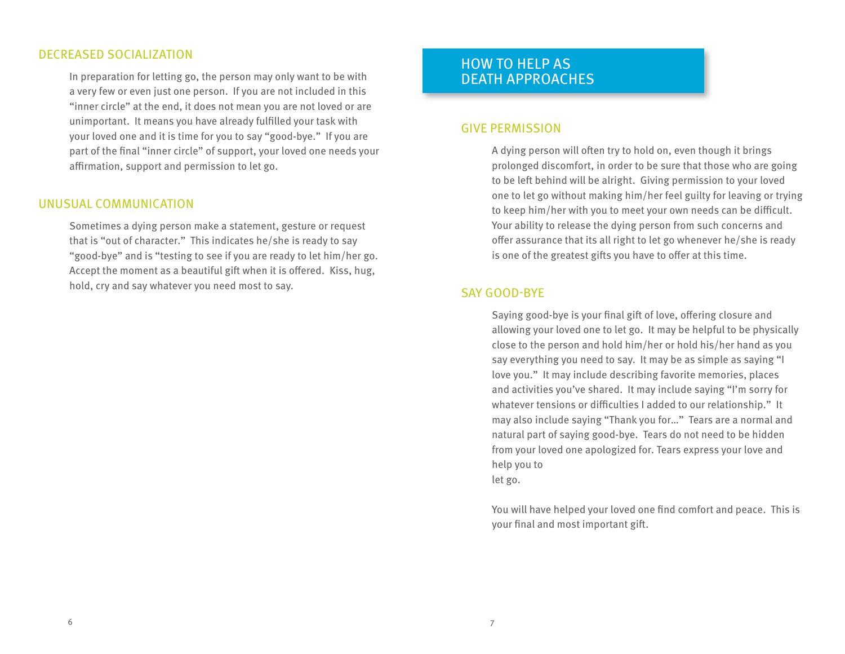## decreased socialization

In preparation for letting go, the person may only want to be with a very few or even just one person. If you are not included in this "inner circle" at the end, it does not mean you are not loved or are unimportant. It means you have already fulfilled your task with your loved one and it is time for you to say "good-bye." If you are part of the final "inner circle" of support, your loved one needs your affirmation, support and permission to let go.

## unusual communication

Sometimes a dying person make a statement, gesture or request that is "out of character." This indicates he/she is ready to say "good-bye" and is "testing to see if you are ready to let him/her go. Accept the moment as a beautiful gift when it is offered. Kiss, hug, hold, cry and say whatever you need most to say.

# how to help as death approaches

#### give permission

A dying person will often try to hold on, even though it brings prolonged discomfort, in order to be sure that those who are going to be left behind will be alright. Giving permission to your loved one to let go without making him/her feel guilty for leaving or trying to keep him/her with you to meet your own needs can be difficult. Your ability to release the dying person from such concerns and offer assurance that its all right to let go whenever he/she is ready is one of the greatest gifts you have to offer at this time.

### say good-bye

Saying good-bye is your final gift of love, offering closure and allowing your loved one to let go. It may be helpful to be physically close to the person and hold him/her or hold his/her hand as you say everything you need to say. It may be as simple as saying "I love you." It may include describing favorite memories, places and activities you've shared. It may include saying "I'm sorry for whatever tensions or difficulties I added to our relationship." It may also include saying "Thank you for…" Tears are a normal and natural part of saying good-bye. Tears do not need to be hidden from your loved one apologized for. Tears express your love and help you to let go.

You will have helped your loved one find comfort and peace. This is your final and most important gift.